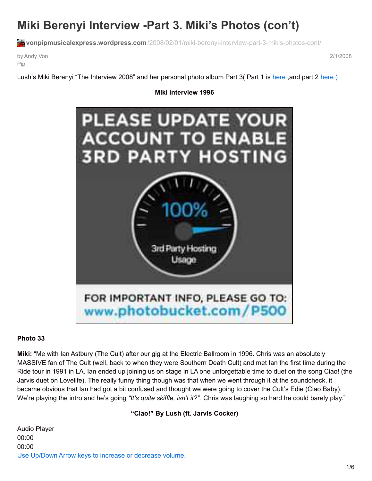# **Miki Berenyi Interview -Part 3. Miki's Photos (con't)**

**vonpipmusicalexpress.wordpress.com**[/2008/02/01/miki-berenyi-interview-part-3-mikis-photos-cont/](https://vonpipmusicalexpress.wordpress.com/2008/02/01/miki-berenyi-interview-part-3-mikis-photos-cont/)

by Andy Von Pip

2/1/2008

Lush's Miki Berenyi "The Interview 2008" and her personal photo album Part 3( Part 1 is [here](https://vonpipmusicalexpress.wordpress.com/2008/01/27/mikis-photo-album-miki-berenyi-interview-part-2/), and part 2 here)

#### **Miki Interview 1996**



#### **Photo 33**

**Miki:** "Me with Ian Astbury (The Cult) after our gig at the Electric Ballroom in 1996. Chris was an absolutely MASSIVE fan of The Cult (well, back to when they were Southern Death Cult) and met Ian the first time during the Ride tour in 1991 in LA. Ian ended up joining us on stage in LA one unforgettable time to duet on the song Ciao! (the Jarvis duet on Lovelife). The really funny thing though was that when we went through it at the soundcheck, it became obvious that Ian had got a bit confused and thought we were going to cover the Cult's Edie (Ciao Baby). We're playing the intro and he's going *"It's quite skiffle, isn't it?".* Chris was laughing so hard he could barely play."

**"Ciao!" By Lush (ft. Jarvis Cocker)**

Audio Player 00:00 00:00 Use Up/Down Arrow keys to increase or decrease volume.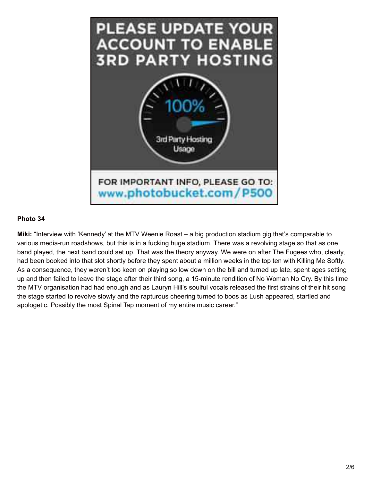

**Miki:** "Interview with 'Kennedy' at the MTV Weenie Roast – a big production stadium gig that's comparable to various media-run roadshows, but this is in a fucking huge stadium. There was a revolving stage so that as one band played, the next band could set up. That was the theory anyway. We were on after The Fugees who, clearly, had been booked into that slot shortly before they spent about a million weeks in the top ten with Killing Me Softly. As a consequence, they weren't too keen on playing so low down on the bill and turned up late, spent ages setting up and then failed to leave the stage after their third song, a 15-minute rendition of No Woman No Cry. By this time the MTV organisation had had enough and as Lauryn Hill's soulful vocals released the first strains of their hit song the stage started to revolve slowly and the rapturous cheering turned to boos as Lush appeared, startled and apologetic. Possibly the most Spinal Tap moment of my entire music career."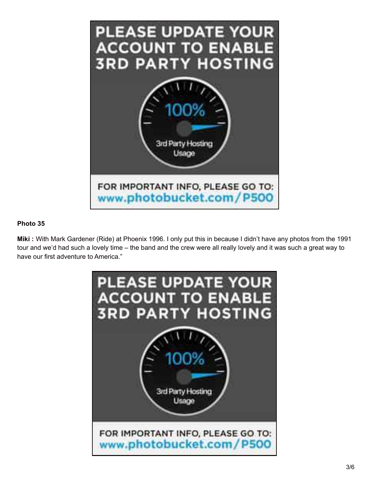

**Miki :** With Mark Gardener (Ride) at Phoenix 1996. I only put this in because I didn't have any photos from the 1991 tour and we'd had such a lovely time – the band and the crew were all really lovely and it was such a great way to have our first adventure to America."

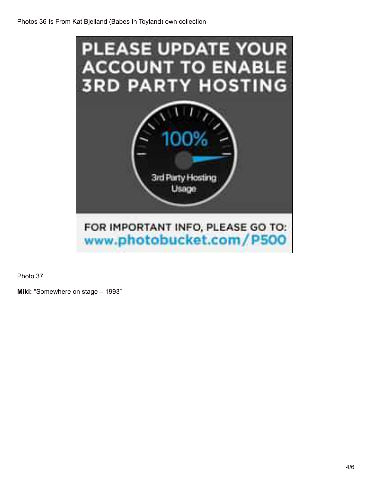

**Miki:** "Somewhere on stage – 1993"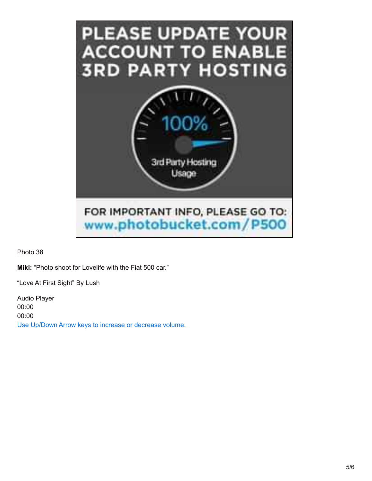

**Miki:** "Photo shoot for Lovelife with the Fiat 500 car."

"Love At First Sight" By Lush

Audio Player 00:00 00:00 Use Up/Down Arrow keys to increase or decrease volume.